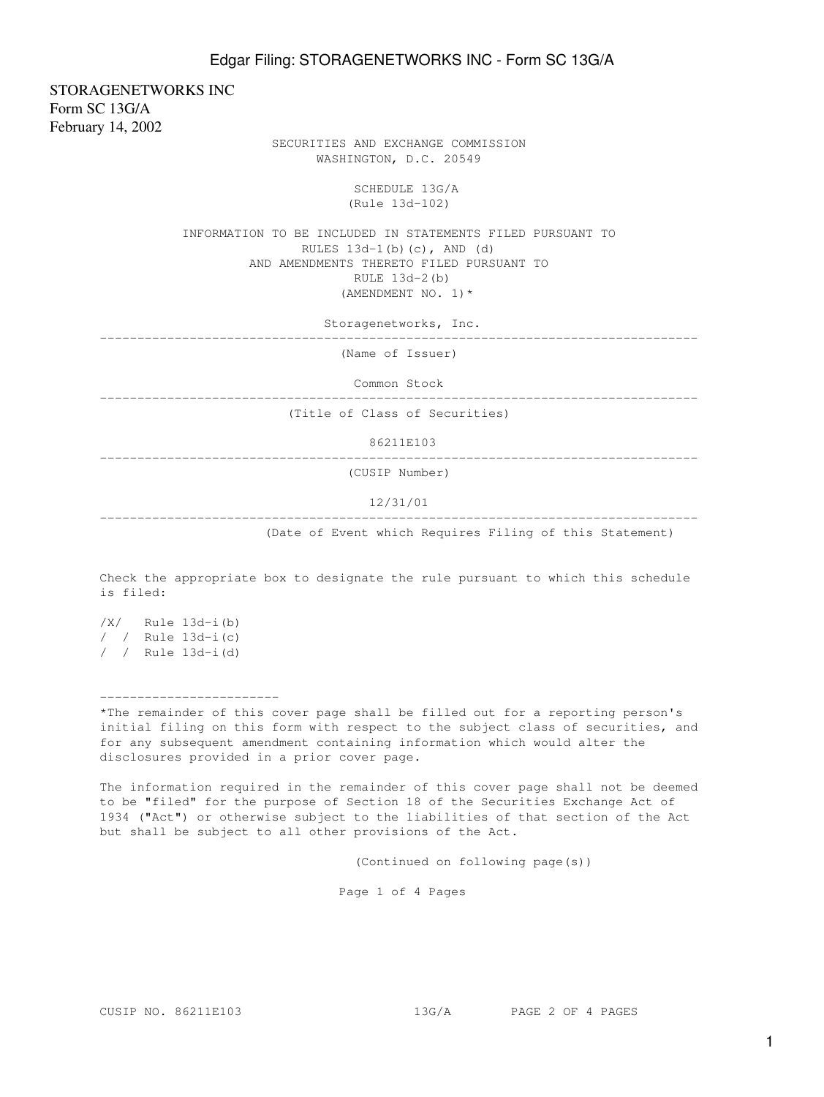STORAGENETWORKS INC Form SC 13G/A February 14, 2002

 SECURITIES AND EXCHANGE COMMISSION WASHINGTON, D.C. 20549

> SCHEDULE 13G/A (Rule 13d-102)

 INFORMATION TO BE INCLUDED IN STATEMENTS FILED PURSUANT TO RULES  $13d-1(b)(c)$ , AND  $(d)$  AND AMENDMENTS THERETO FILED PURSUANT TO RULE 13d-2(b) (AMENDMENT NO. 1)\*

Storagenetworks, Inc.

--------------------------------------------------------------------------------

(Name of Issuer)

Common Stock

--------------------------------------------------------------------------------

(Title of Class of Securities)

86211E103

--------------------------------------------------------------------------------

(CUSIP Number)

12/31/01

--------------------------------------------------------------------------------

(Date of Event which Requires Filing of this Statement)

Check the appropriate box to designate the rule pursuant to which this schedule is filed:

/X/ Rule 13d-i(b) / / Rule 13d-i(c) / / Rule 13d-i(d)

------------------------

\*The remainder of this cover page shall be filled out for a reporting person's initial filing on this form with respect to the subject class of securities, and for any subsequent amendment containing information which would alter the disclosures provided in a prior cover page.

The information required in the remainder of this cover page shall not be deemed to be "filed" for the purpose of Section 18 of the Securities Exchange Act of 1934 ("Act") or otherwise subject to the liabilities of that section of the Act but shall be subject to all other provisions of the Act.

(Continued on following page(s))

Page 1 of 4 Pages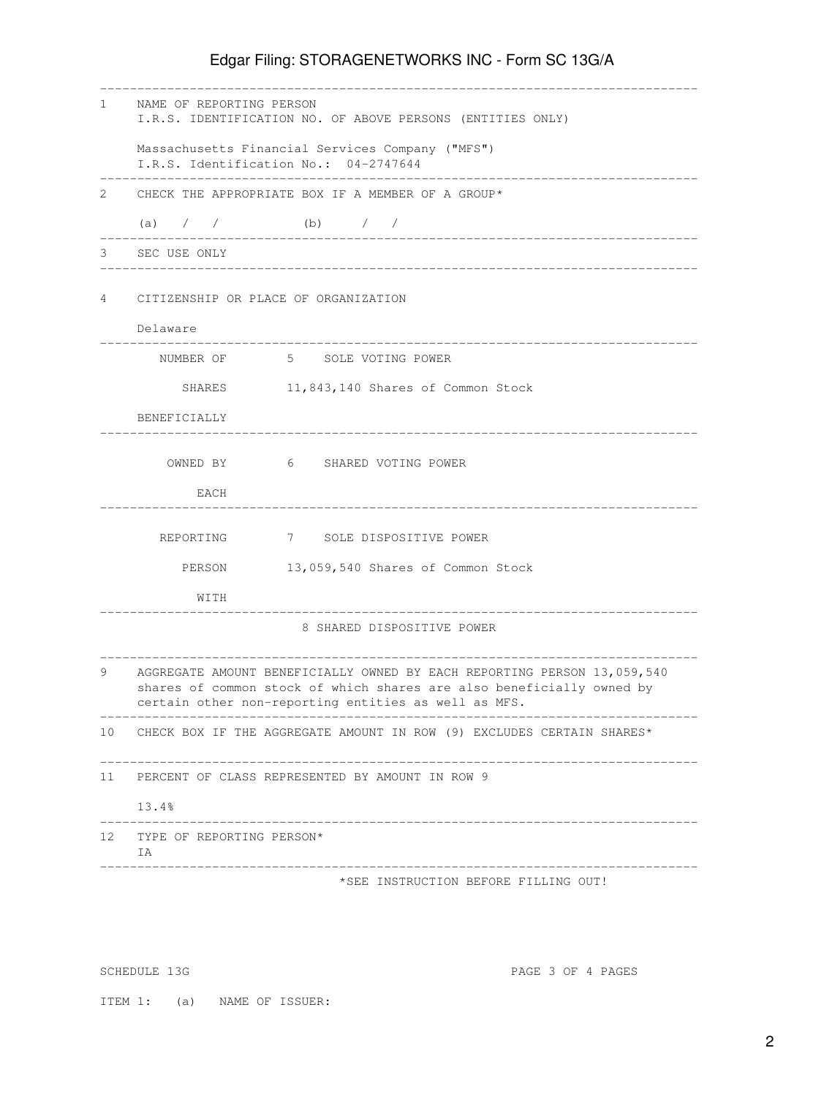## Edgar Filing: STORAGENETWORKS INC - Form SC 13G/A

| $\mathbf{1}$ | NAME OF REPORTING PERSON<br>I.R.S. IDENTIFICATION NO. OF ABOVE PERSONS (ENTITIES ONLY)                                                                                                                   |
|--------------|----------------------------------------------------------------------------------------------------------------------------------------------------------------------------------------------------------|
|              | Massachusetts Financial Services Company ("MFS")<br>I.R.S. Identification No.: 04-2747644                                                                                                                |
| 2            | CHECK THE APPROPRIATE BOX IF A MEMBER OF A GROUP*                                                                                                                                                        |
|              | (b) $/$ /<br>$(a)$ / /                                                                                                                                                                                   |
| 3            | SEC USE ONLY                                                                                                                                                                                             |
| 4            | CITIZENSHIP OR PLACE OF ORGANIZATION                                                                                                                                                                     |
|              | Delaware                                                                                                                                                                                                 |
|              | NUMBER OF 5 SOLE VOTING POWER                                                                                                                                                                            |
|              | 11,843,140 Shares of Common Stock<br>SHARES                                                                                                                                                              |
|              | BENEFICIALLY                                                                                                                                                                                             |
|              | OWNED BY 6 SHARED VOTING POWER                                                                                                                                                                           |
|              | EACH                                                                                                                                                                                                     |
|              | 7 SOLE DISPOSITIVE POWER<br>REPORTING                                                                                                                                                                    |
|              | 13,059,540 Shares of Common Stock<br>PERSON                                                                                                                                                              |
|              | WITH                                                                                                                                                                                                     |
|              | 8 SHARED DISPOSITIVE POWER                                                                                                                                                                               |
| 9            | AGGREGATE AMOUNT BENEFICIALLY OWNED BY EACH REPORTING PERSON 13,059,540<br>shares of common stock of which shares are also beneficially owned by<br>certain other non-reporting entities as well as MFS. |
|              | 10 CHECK BOX IF THE AGGREGATE AMOUNT IN ROW (9) EXCLUDES CERTAIN SHARES*                                                                                                                                 |
| 11           | PERCENT OF CLASS REPRESENTED BY AMOUNT IN ROW 9                                                                                                                                                          |
|              | 13.4%                                                                                                                                                                                                    |
|              | 12 TYPE OF REPORTING PERSON*<br>IA                                                                                                                                                                       |
|              | _______________________________<br>*SEE INSTRUCTION BEFORE FILLING OUT!                                                                                                                                  |

SCHEDULE 13G PAGE 3 OF 4 PAGES

ITEM 1: (a) NAME OF ISSUER: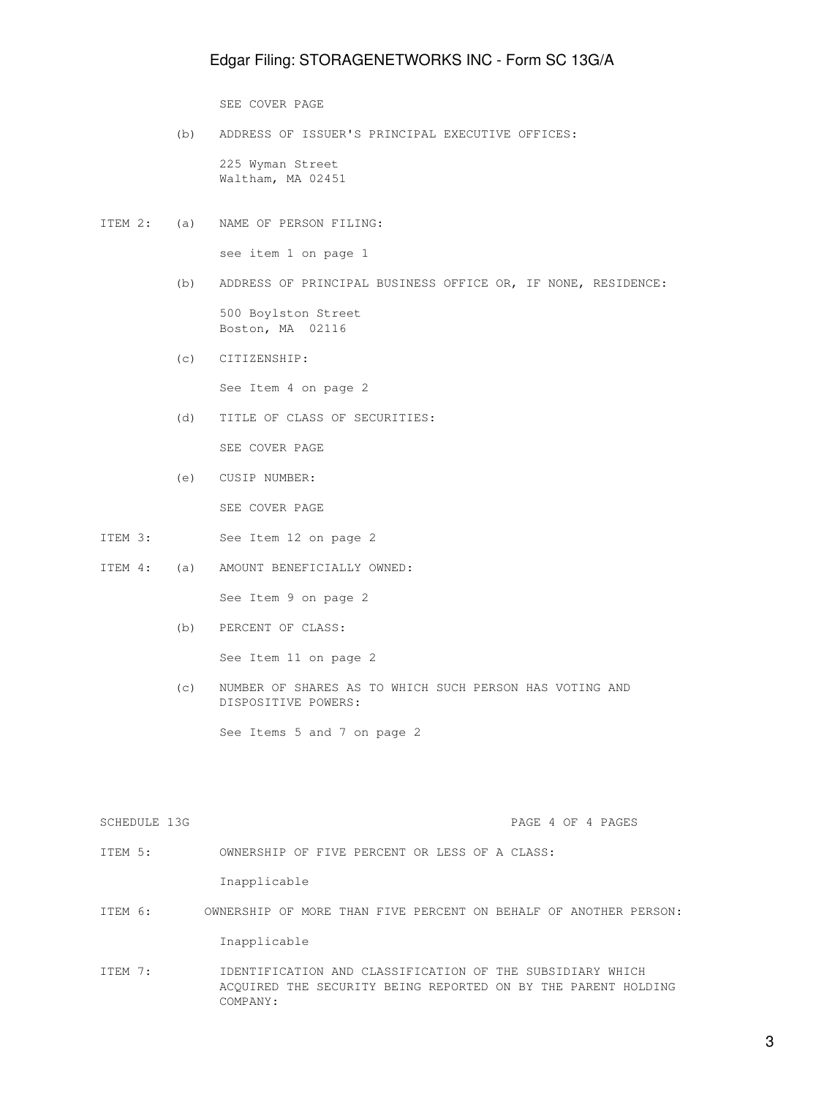## Edgar Filing: STORAGENETWORKS INC - Form SC 13G/A

SEE COVER PAGE

 (b) ADDRESS OF ISSUER'S PRINCIPAL EXECUTIVE OFFICES: 225 Wyman Street

Waltham, MA 02451

ITEM 2: (a) NAME OF PERSON FILING:

see item 1 on page 1

(b) ADDRESS OF PRINCIPAL BUSINESS OFFICE OR, IF NONE, RESIDENCE:

 500 Boylston Street Boston, MA 02116

(c) CITIZENSHIP:

See Item 4 on page 2

(d) TITLE OF CLASS OF SECURITIES:

SEE COVER PAGE

(e) CUSIP NUMBER:

SEE COVER PAGE

- ITEM 3: See Item 12 on page 2
- ITEM 4: (a) AMOUNT BENEFICIALLY OWNED:

See Item 9 on page 2

(b) PERCENT OF CLASS:

See Item 11 on page 2

 (c) NUMBER OF SHARES AS TO WHICH SUCH PERSON HAS VOTING AND DISPOSITIVE POWERS:

See Items 5 and 7 on page 2

SCHEDULE 13G PAGE 4 OF 4 PAGES

ITEM 5: OWNERSHIP OF FIVE PERCENT OR LESS OF A CLASS:

Inapplicable

ITEM 6: OWNERSHIP OF MORE THAN FIVE PERCENT ON BEHALF OF ANOTHER PERSON:

Inapplicable

ITEM 7: IDENTIFICATION AND CLASSIFICATION OF THE SUBSIDIARY WHICH ACQUIRED THE SECURITY BEING REPORTED ON BY THE PARENT HOLDING COMPANY: